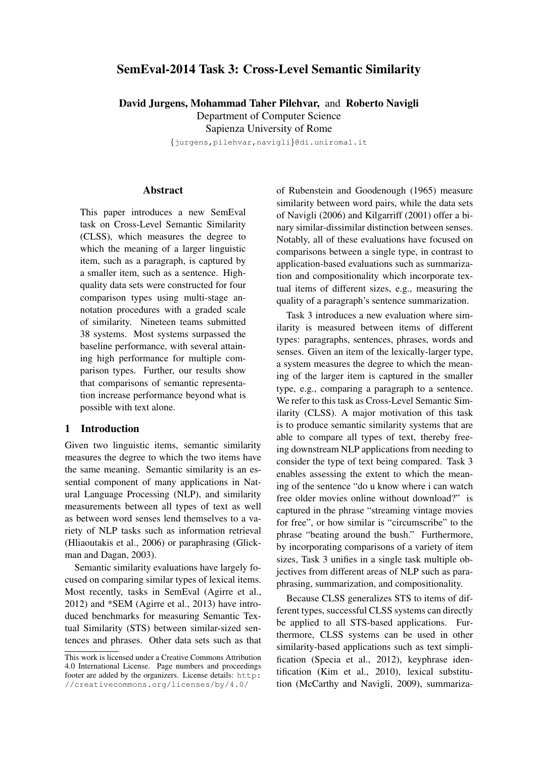# SemEval-2014 Task 3: Cross-Level Semantic Similarity

David Jurgens, Mohammad Taher Pilehvar, and Roberto Navigli Department of Computer Science Sapienza University of Rome {jurgens,pilehvar,navigli}@di.uniroma1.it

### **Abstract**

This paper introduces a new SemEval task on Cross-Level Semantic Similarity (CLSS), which measures the degree to which the meaning of a larger linguistic item, such as a paragraph, is captured by a smaller item, such as a sentence. Highquality data sets were constructed for four comparison types using multi-stage annotation procedures with a graded scale of similarity. Nineteen teams submitted 38 systems. Most systems surpassed the baseline performance, with several attaining high performance for multiple comparison types. Further, our results show that comparisons of semantic representation increase performance beyond what is possible with text alone.

### 1 Introduction

Given two linguistic items, semantic similarity measures the degree to which the two items have the same meaning. Semantic similarity is an essential component of many applications in Natural Language Processing (NLP), and similarity measurements between all types of text as well as between word senses lend themselves to a variety of NLP tasks such as information retrieval (Hliaoutakis et al., 2006) or paraphrasing (Glickman and Dagan, 2003).

Semantic similarity evaluations have largely focused on comparing similar types of lexical items. Most recently, tasks in SemEval (Agirre et al., 2012) and \*SEM (Agirre et al., 2013) have introduced benchmarks for measuring Semantic Textual Similarity (STS) between similar-sized sentences and phrases. Other data sets such as that of Rubenstein and Goodenough (1965) measure similarity between word pairs, while the data sets of Navigli (2006) and Kilgarriff (2001) offer a binary similar-dissimilar distinction between senses. Notably, all of these evaluations have focused on comparisons between a single type, in contrast to application-based evaluations such as summarization and compositionality which incorporate textual items of different sizes, e.g., measuring the quality of a paragraph's sentence summarization.

Task 3 introduces a new evaluation where similarity is measured between items of different types: paragraphs, sentences, phrases, words and senses. Given an item of the lexically-larger type, a system measures the degree to which the meaning of the larger item is captured in the smaller type, e.g., comparing a paragraph to a sentence. We refer to this task as Cross-Level Semantic Similarity (CLSS). A major motivation of this task is to produce semantic similarity systems that are able to compare all types of text, thereby freeing downstream NLP applications from needing to consider the type of text being compared. Task 3 enables assessing the extent to which the meaning of the sentence "do u know where i can watch free older movies online without download?" is captured in the phrase "streaming vintage movies for free", or how similar is "circumscribe" to the phrase "beating around the bush." Furthermore, by incorporating comparisons of a variety of item sizes, Task 3 unifies in a single task multiple objectives from different areas of NLP such as paraphrasing, summarization, and compositionality.

Because CLSS generalizes STS to items of different types, successful CLSS systems can directly be applied to all STS-based applications. Furthermore, CLSS systems can be used in other similarity-based applications such as text simplification (Specia et al., 2012), keyphrase identification (Kim et al., 2010), lexical substitution (McCarthy and Navigli, 2009), summariza-

This work is licensed under a Creative Commons Attribution 4.0 International License. Page numbers and proceedings footer are added by the organizers. License details: http: //creativecommons.org/licenses/by/4.0/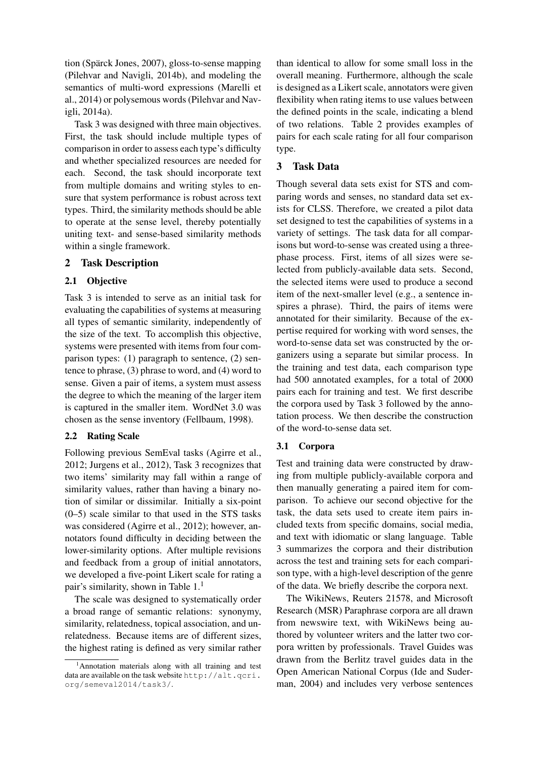tion (Spärck Jones, 2007), gloss-to-sense mapping (Pilehvar and Navigli, 2014b), and modeling the semantics of multi-word expressions (Marelli et al., 2014) or polysemous words (Pilehvar and Navigli, 2014a).

Task 3 was designed with three main objectives. First, the task should include multiple types of comparison in order to assess each type's difficulty and whether specialized resources are needed for each. Second, the task should incorporate text from multiple domains and writing styles to ensure that system performance is robust across text types. Third, the similarity methods should be able to operate at the sense level, thereby potentially uniting text- and sense-based similarity methods within a single framework.

### 2 Task Description

### 2.1 Objective

Task 3 is intended to serve as an initial task for evaluating the capabilities of systems at measuring all types of semantic similarity, independently of the size of the text. To accomplish this objective, systems were presented with items from four comparison types: (1) paragraph to sentence, (2) sentence to phrase, (3) phrase to word, and (4) word to sense. Given a pair of items, a system must assess the degree to which the meaning of the larger item is captured in the smaller item. WordNet 3.0 was chosen as the sense inventory (Fellbaum, 1998).

### 2.2 Rating Scale

Following previous SemEval tasks (Agirre et al., 2012; Jurgens et al., 2012), Task 3 recognizes that two items' similarity may fall within a range of similarity values, rather than having a binary notion of similar or dissimilar. Initially a six-point (0–5) scale similar to that used in the STS tasks was considered (Agirre et al., 2012); however, annotators found difficulty in deciding between the lower-similarity options. After multiple revisions and feedback from a group of initial annotators, we developed a five-point Likert scale for rating a pair's similarity, shown in Table 1.<sup>1</sup>

The scale was designed to systematically order a broad range of semantic relations: synonymy, similarity, relatedness, topical association, and unrelatedness. Because items are of different sizes, the highest rating is defined as very similar rather than identical to allow for some small loss in the overall meaning. Furthermore, although the scale is designed as a Likert scale, annotators were given flexibility when rating items to use values between the defined points in the scale, indicating a blend of two relations. Table 2 provides examples of pairs for each scale rating for all four comparison type.

## 3 Task Data

Though several data sets exist for STS and comparing words and senses, no standard data set exists for CLSS. Therefore, we created a pilot data set designed to test the capabilities of systems in a variety of settings. The task data for all comparisons but word-to-sense was created using a threephase process. First, items of all sizes were selected from publicly-available data sets. Second, the selected items were used to produce a second item of the next-smaller level (e.g., a sentence inspires a phrase). Third, the pairs of items were annotated for their similarity. Because of the expertise required for working with word senses, the word-to-sense data set was constructed by the organizers using a separate but similar process. In the training and test data, each comparison type had 500 annotated examples, for a total of 2000 pairs each for training and test. We first describe the corpora used by Task 3 followed by the annotation process. We then describe the construction of the word-to-sense data set.

### 3.1 Corpora

Test and training data were constructed by drawing from multiple publicly-available corpora and then manually generating a paired item for comparison. To achieve our second objective for the task, the data sets used to create item pairs included texts from specific domains, social media, and text with idiomatic or slang language. Table 3 summarizes the corpora and their distribution across the test and training sets for each comparison type, with a high-level description of the genre of the data. We briefly describe the corpora next.

The WikiNews, Reuters 21578, and Microsoft Research (MSR) Paraphrase corpora are all drawn from newswire text, with WikiNews being authored by volunteer writers and the latter two corpora written by professionals. Travel Guides was drawn from the Berlitz travel guides data in the Open American National Corpus (Ide and Suderman, 2004) and includes very verbose sentences

<sup>&</sup>lt;sup>1</sup>Annotation materials along with all training and test data are available on the task website http://alt.qcri. org/semeval2014/task3/.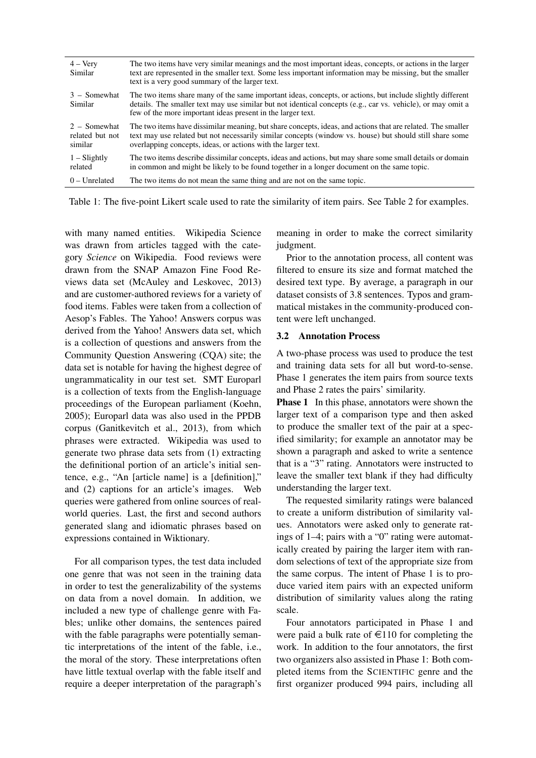| $4 - \text{Very}$<br>Similar               | The two items have very similar meanings and the most important ideas, concepts, or actions in the larger<br>text are represented in the smaller text. Some less important information may be missing, but the smaller<br>text is a very good summary of the larger text.                |
|--------------------------------------------|------------------------------------------------------------------------------------------------------------------------------------------------------------------------------------------------------------------------------------------------------------------------------------------|
| $3 -$ Somewhat<br>Similar                  | The two items share many of the same important ideas, concepts, or actions, but include slightly different<br>details. The smaller text may use similar but not identical concepts (e.g., car vs. vehicle), or may omit a<br>few of the more important ideas present in the larger text. |
| 2 – Somewhat<br>related but not<br>similar | The two items have dissimilar meaning, but share concepts, ideas, and actions that are related. The smaller<br>text may use related but not necessarily similar concepts (window vs. house) but should still share some<br>overlapping concepts, ideas, or actions with the larger text. |
| $1 - S$ lightly<br>related                 | The two items describe dissimilar concepts, ideas and actions, but may share some small details or domain<br>in common and might be likely to be found together in a longer document on the same topic.                                                                                  |
| $0$ – Unrelated                            | The two items do not mean the same thing and are not on the same topic.                                                                                                                                                                                                                  |

Table 1: The five-point Likert scale used to rate the similarity of item pairs. See Table 2 for examples.

with many named entities. Wikipedia Science was drawn from articles tagged with the category *Science* on Wikipedia. Food reviews were drawn from the SNAP Amazon Fine Food Reviews data set (McAuley and Leskovec, 2013) and are customer-authored reviews for a variety of food items. Fables were taken from a collection of Aesop's Fables. The Yahoo! Answers corpus was derived from the Yahoo! Answers data set, which is a collection of questions and answers from the Community Question Answering (CQA) site; the data set is notable for having the highest degree of ungrammaticality in our test set. SMT Europarl is a collection of texts from the English-language proceedings of the European parliament (Koehn, 2005); Europarl data was also used in the PPDB corpus (Ganitkevitch et al., 2013), from which phrases were extracted. Wikipedia was used to generate two phrase data sets from (1) extracting the definitional portion of an article's initial sentence, e.g., "An [article name] is a [definition]," and (2) captions for an article's images. Web queries were gathered from online sources of realworld queries. Last, the first and second authors generated slang and idiomatic phrases based on expressions contained in Wiktionary.

For all comparison types, the test data included one genre that was not seen in the training data in order to test the generalizability of the systems on data from a novel domain. In addition, we included a new type of challenge genre with Fables; unlike other domains, the sentences paired with the fable paragraphs were potentially semantic interpretations of the intent of the fable, i.e., the moral of the story. These interpretations often have little textual overlap with the fable itself and require a deeper interpretation of the paragraph's

meaning in order to make the correct similarity judgment.

Prior to the annotation process, all content was filtered to ensure its size and format matched the desired text type. By average, a paragraph in our dataset consists of 3.8 sentences. Typos and grammatical mistakes in the community-produced content were left unchanged.

### 3.2 Annotation Process

A two-phase process was used to produce the test and training data sets for all but word-to-sense. Phase 1 generates the item pairs from source texts and Phase 2 rates the pairs' similarity.

**Phase 1** In this phase, annotators were shown the larger text of a comparison type and then asked to produce the smaller text of the pair at a specified similarity; for example an annotator may be shown a paragraph and asked to write a sentence that is a "3" rating. Annotators were instructed to leave the smaller text blank if they had difficulty understanding the larger text.

The requested similarity ratings were balanced to create a uniform distribution of similarity values. Annotators were asked only to generate ratings of 1–4; pairs with a "0" rating were automatically created by pairing the larger item with random selections of text of the appropriate size from the same corpus. The intent of Phase 1 is to produce varied item pairs with an expected uniform distribution of similarity values along the rating scale.

Four annotators participated in Phase 1 and were paid a bulk rate of  $\in$ 110 for completing the work. In addition to the four annotators, the first two organizers also assisted in Phase 1: Both completed items from the SCIENTIFIC genre and the first organizer produced 994 pairs, including all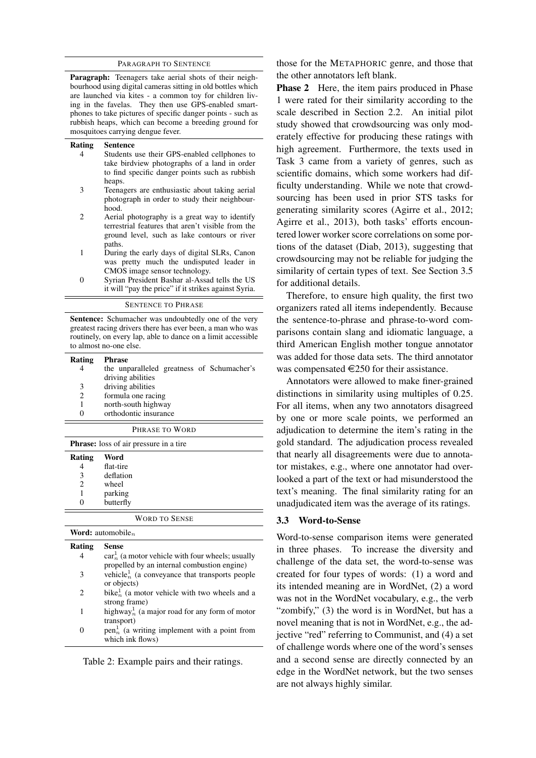#### PARAGRAPH TO SENTENCE

Paragraph: Teenagers take aerial shots of their neighbourhood using digital cameras sitting in old bottles which are launched via kites - a common toy for children living in the favelas. They then use GPS-enabled smartphones to take pictures of specific danger points - such as rubbish heaps, which can become a breeding ground for mosquitoes carrying dengue fever.

| Rating | <b>Sentence</b>                                |
|--------|------------------------------------------------|
| 4      | Students use their GPS-enabled cellphones to   |
|        | take birdview photographs of a land in order   |
|        | to find specific danger points such as rubbish |
|        | heaps.                                         |
| 3      | Teenagers are enthusiastic about taking aerial |
|        | photograph in order to study their neighbour-  |
|        | hood.                                          |
| 2      | Aerial photography is a great way to identify  |

- terrestrial features that aren't visible from the ground level, such as lake contours or river paths.
- 1 During the early days of digital SLRs, Canon was pretty much the undisputed leader in CMOS image sensor technology.
- 0 Syrian President Bashar al-Assad tells the US it will "pay the price" if it strikes against Syria.

#### SENTENCE TO PHRASE

Sentence: Schumacher was undoubtedly one of the very greatest racing drivers there has ever been, a man who was routinely, on every lap, able to dance on a limit accessible to almost no-one else.

| Rating | <b>Phrase</b>                              |  |  |  |  |  |  |  |
|--------|--------------------------------------------|--|--|--|--|--|--|--|
|        | the unparalleled greatness of Schumacher's |  |  |  |  |  |  |  |
|        | driving abilities                          |  |  |  |  |  |  |  |
| 3      | driving abilities                          |  |  |  |  |  |  |  |
| 2      | formula one racing                         |  |  |  |  |  |  |  |
| 1      | north-south highway                        |  |  |  |  |  |  |  |
| 0      | orthodontic insurance                      |  |  |  |  |  |  |  |
|        | PHRASE TO WORD                             |  |  |  |  |  |  |  |
|        |                                            |  |  |  |  |  |  |  |

Phrase: loss of air pressure in a tire

 $\equiv$ 

 $\equiv$ 

| Rating                      | Word      |
|-----------------------------|-----------|
|                             | flat-tire |
| 3                           | deflation |
| $\mathcal{D}_{\mathcal{A}}$ | wheel     |
|                             | parking   |
| $\mathbf{r}$                | butterfly |
|                             |           |

### WORD TO SENSE

| Rating | <b>Sense</b>                                                                                              |
|--------|-----------------------------------------------------------------------------------------------------------|
| 4      | $car_n^{\perp}$ (a motor vehicle with four wheels; usually<br>propelled by an internal combustion engine) |
| 3      | vehicle <sub>n</sub> (a conveyance that transports people<br>or objects)                                  |
| 2      | bike <sup>1</sup> (a motor vehicle with two wheels and a<br>strong frame)                                 |
| 1      | highway <sup>1</sup> (a major road for any form of motor<br>transport)                                    |
| 0      | $pen_n^1$ (a writing implement with a point from<br>which ink flows)                                      |

Table 2: Example pairs and their ratings.

those for the METAPHORIC genre, and those that the other annotators left blank.

**Phase 2** Here, the item pairs produced in Phase 1 were rated for their similarity according to the scale described in Section 2.2. An initial pilot study showed that crowdsourcing was only moderately effective for producing these ratings with high agreement. Furthermore, the texts used in Task 3 came from a variety of genres, such as scientific domains, which some workers had difficulty understanding. While we note that crowdsourcing has been used in prior STS tasks for generating similarity scores (Agirre et al., 2012; Agirre et al., 2013), both tasks' efforts encountered lower worker score correlations on some portions of the dataset (Diab, 2013), suggesting that crowdsourcing may not be reliable for judging the similarity of certain types of text. See Section 3.5 for additional details.

Therefore, to ensure high quality, the first two organizers rated all items independently. Because the sentence-to-phrase and phrase-to-word comparisons contain slang and idiomatic language, a third American English mother tongue annotator was added for those data sets. The third annotator was compensated  $\in$  250 for their assistance.

Annotators were allowed to make finer-grained distinctions in similarity using multiples of 0.25. For all items, when any two annotators disagreed by one or more scale points, we performed an adjudication to determine the item's rating in the gold standard. The adjudication process revealed that nearly all disagreements were due to annotator mistakes, e.g., where one annotator had overlooked a part of the text or had misunderstood the text's meaning. The final similarity rating for an unadjudicated item was the average of its ratings.

### 3.3 Word-to-Sense

Word-to-sense comparison items were generated in three phases. To increase the diversity and challenge of the data set, the word-to-sense was created for four types of words: (1) a word and its intended meaning are in WordNet, (2) a word was not in the WordNet vocabulary, e.g., the verb "zombify," (3) the word is in WordNet, but has a novel meaning that is not in WordNet, e.g., the adjective "red" referring to Communist, and (4) a set of challenge words where one of the word's senses and a second sense are directly connected by an edge in the WordNet network, but the two senses are not always highly similar.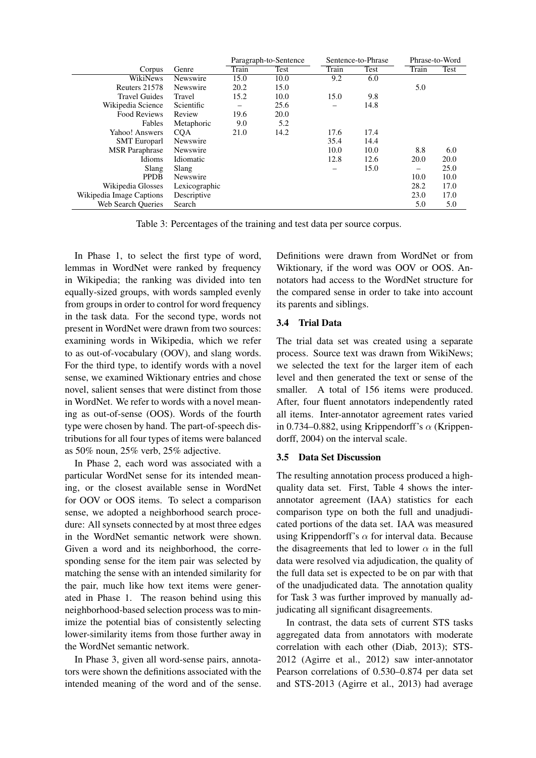|                          |                  | Paragraph-to-Sentence |      | Sentence-to-Phrase |      | Phrase-to-Word           |      |
|--------------------------|------------------|-----------------------|------|--------------------|------|--------------------------|------|
| Corpus                   | Genre            | Train                 | Test | Train              | Test | Train                    | Test |
| WikiNews                 | Newswire         | 15.0                  | 10.0 | 9.2                | 6.0  |                          |      |
| Reuters 21578            | Newswire         | 20.2                  | 15.0 |                    |      | 5.0                      |      |
| <b>Travel Guides</b>     | Travel           | 15.2                  | 10.0 | 15.0               | 9.8  |                          |      |
| Wikipedia Science        | Scientific       | -                     | 25.6 |                    | 14.8 |                          |      |
| Food Reviews             | Review           | 19.6                  | 20.0 |                    |      |                          |      |
| Fables                   | Metaphoric       | 9.0                   | 5.2  |                    |      |                          |      |
| Yahoo! Answers           | <b>COA</b>       | 21.0                  | 14.2 | 17.6               | 17.4 |                          |      |
| <b>SMT</b> Europarl      | Newswire         |                       |      | 35.4               | 14.4 |                          |      |
| <b>MSR</b> Paraphrase    | Newswire         |                       |      | 10.0               | 10.0 | 8.8                      | 6.0  |
| <b>Idioms</b>            | <b>Idiomatic</b> |                       |      | 12.8               | 12.6 | 20.0                     | 20.0 |
| Slang                    | Slang            |                       |      |                    | 15.0 | $\overline{\phantom{m}}$ | 25.0 |
| <b>PPDB</b>              | Newswire         |                       |      |                    |      | 10.0                     | 10.0 |
| Wikipedia Glosses        | Lexicographic    |                       |      |                    |      | 28.2                     | 17.0 |
| Wikipedia Image Captions | Descriptive      |                       |      |                    |      | 23.0                     | 17.0 |
| Web Search Oueries       | Search           |                       |      |                    |      | 5.0                      | 5.0  |

Table 3: Percentages of the training and test data per source corpus.

In Phase 1, to select the first type of word, lemmas in WordNet were ranked by frequency in Wikipedia; the ranking was divided into ten equally-sized groups, with words sampled evenly from groups in order to control for word frequency in the task data. For the second type, words not present in WordNet were drawn from two sources: examining words in Wikipedia, which we refer to as out-of-vocabulary (OOV), and slang words. For the third type, to identify words with a novel sense, we examined Wiktionary entries and chose novel, salient senses that were distinct from those in WordNet. We refer to words with a novel meaning as out-of-sense (OOS). Words of the fourth type were chosen by hand. The part-of-speech distributions for all four types of items were balanced as 50% noun, 25% verb, 25% adjective.

In Phase 2, each word was associated with a particular WordNet sense for its intended meaning, or the closest available sense in WordNet for OOV or OOS items. To select a comparison sense, we adopted a neighborhood search procedure: All synsets connected by at most three edges in the WordNet semantic network were shown. Given a word and its neighborhood, the corresponding sense for the item pair was selected by matching the sense with an intended similarity for the pair, much like how text items were generated in Phase 1. The reason behind using this neighborhood-based selection process was to minimize the potential bias of consistently selecting lower-similarity items from those further away in the WordNet semantic network.

In Phase 3, given all word-sense pairs, annotators were shown the definitions associated with the intended meaning of the word and of the sense. Definitions were drawn from WordNet or from Wiktionary, if the word was OOV or OOS. Annotators had access to the WordNet structure for the compared sense in order to take into account its parents and siblings.

### 3.4 Trial Data

The trial data set was created using a separate process. Source text was drawn from WikiNews; we selected the text for the larger item of each level and then generated the text or sense of the smaller. A total of 156 items were produced. After, four fluent annotators independently rated all items. Inter-annotator agreement rates varied in 0.734–0.882, using Krippendorff's  $\alpha$  (Krippendorff, 2004) on the interval scale.

### 3.5 Data Set Discussion

The resulting annotation process produced a highquality data set. First, Table 4 shows the interannotator agreement (IAA) statistics for each comparison type on both the full and unadjudicated portions of the data set. IAA was measured using Krippendorff's  $\alpha$  for interval data. Because the disagreements that led to lower  $\alpha$  in the full data were resolved via adjudication, the quality of the full data set is expected to be on par with that of the unadjudicated data. The annotation quality for Task 3 was further improved by manually adjudicating all significant disagreements.

In contrast, the data sets of current STS tasks aggregated data from annotators with moderate correlation with each other (Diab, 2013); STS-2012 (Agirre et al., 2012) saw inter-annotator Pearson correlations of 0.530–0.874 per data set and STS-2013 (Agirre et al., 2013) had average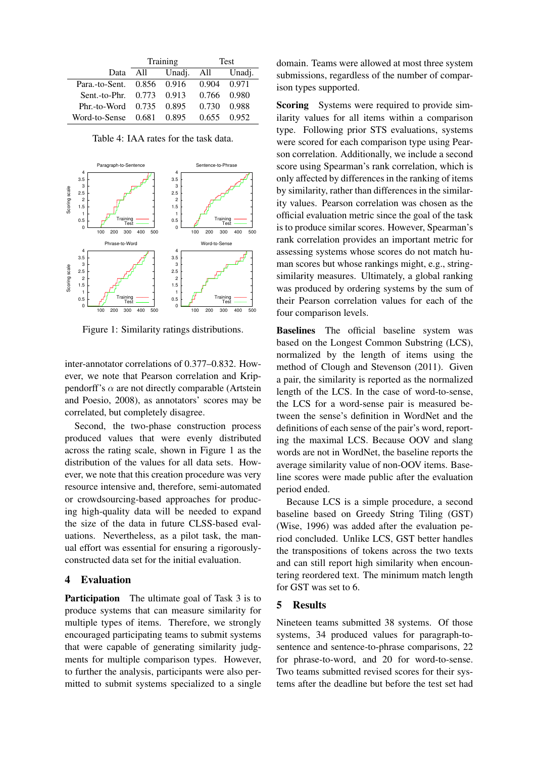|                              | Training        | <b>Test</b> |               |  |
|------------------------------|-----------------|-------------|---------------|--|
|                              | Data All Unadi. | All         | Unadj.        |  |
| Para.-to-Sent. 0.856 0.916   |                 | 0.904 0.971 |               |  |
| Sent.-to-Phr. 0.773 0.913    |                 | 0.766 0.980 |               |  |
| Phr.-to-Word $0.735$ $0.895$ |                 | 0.730 0.988 |               |  |
| Word-to-Sense 0.681 0.895    |                 |             | $0.655$ 0.952 |  |

Table 4: IAA rates for the task data.



Figure 1: Similarity ratings distributions.

inter-annotator correlations of 0.377–0.832. However, we note that Pearson correlation and Krippendorff's  $\alpha$  are not directly comparable (Artstein and Poesio, 2008), as annotators' scores may be correlated, but completely disagree.

Second, the two-phase construction process produced values that were evenly distributed across the rating scale, shown in Figure 1 as the distribution of the values for all data sets. However, we note that this creation procedure was very resource intensive and, therefore, semi-automated or crowdsourcing-based approaches for producing high-quality data will be needed to expand the size of the data in future CLSS-based evaluations. Nevertheless, as a pilot task, the manual effort was essential for ensuring a rigorouslyconstructed data set for the initial evaluation.

### 4 Evaluation

**Participation** The ultimate goal of Task 3 is to produce systems that can measure similarity for multiple types of items. Therefore, we strongly encouraged participating teams to submit systems that were capable of generating similarity judgments for multiple comparison types. However, to further the analysis, participants were also permitted to submit systems specialized to a single

domain. Teams were allowed at most three system submissions, regardless of the number of comparison types supported.

Scoring Systems were required to provide similarity values for all items within a comparison type. Following prior STS evaluations, systems were scored for each comparison type using Pearson correlation. Additionally, we include a second score using Spearman's rank correlation, which is only affected by differences in the ranking of items by similarity, rather than differences in the similarity values. Pearson correlation was chosen as the official evaluation metric since the goal of the task is to produce similar scores. However, Spearman's rank correlation provides an important metric for assessing systems whose scores do not match human scores but whose rankings might, e.g., stringsimilarity measures. Ultimately, a global ranking was produced by ordering systems by the sum of their Pearson correlation values for each of the four comparison levels.

Baselines The official baseline system was based on the Longest Common Substring (LCS), normalized by the length of items using the method of Clough and Stevenson (2011). Given a pair, the similarity is reported as the normalized length of the LCS. In the case of word-to-sense, the LCS for a word-sense pair is measured between the sense's definition in WordNet and the definitions of each sense of the pair's word, reporting the maximal LCS. Because OOV and slang words are not in WordNet, the baseline reports the average similarity value of non-OOV items. Baseline scores were made public after the evaluation period ended.

Because LCS is a simple procedure, a second baseline based on Greedy String Tiling (GST) (Wise, 1996) was added after the evaluation period concluded. Unlike LCS, GST better handles the transpositions of tokens across the two texts and can still report high similarity when encountering reordered text. The minimum match length for GST was set to 6.

## 5 Results

Nineteen teams submitted 38 systems. Of those systems, 34 produced values for paragraph-tosentence and sentence-to-phrase comparisons, 22 for phrase-to-word, and 20 for word-to-sense. Two teams submitted revised scores for their systems after the deadline but before the test set had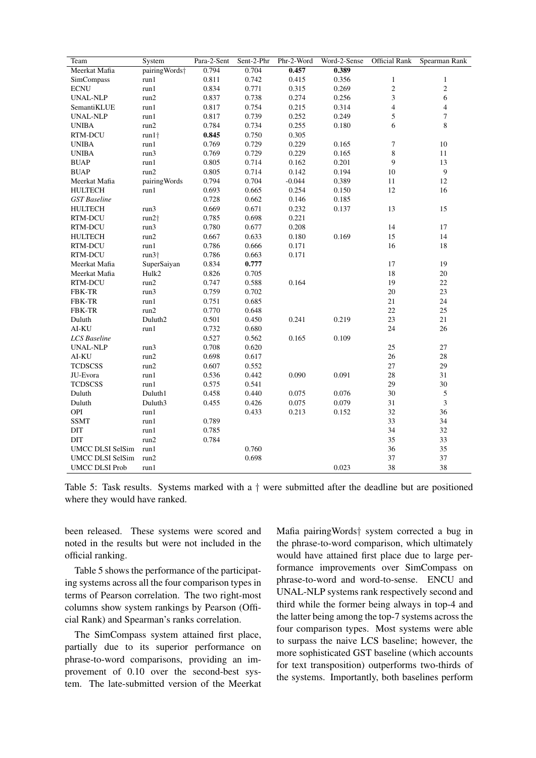| Team                  | System                     | Para-2-Sent | Sent-2-Phr | Phr-2-Word | Word-2-Sense | <b>Official Rank</b> | Spearman Rank               |
|-----------------------|----------------------------|-------------|------------|------------|--------------|----------------------|-----------------------------|
| Meerkat Mafia         | pairing Words <sup>+</sup> | 0.794       | 0.704      | 0.457      | 0.389        |                      |                             |
| SimCompass            | run1                       | 0.811       | 0.742      | 0.415      | 0.356        | $\mathbf{1}$         | $\mathbf{1}$                |
| <b>ECNU</b>           | run1                       | 0.834       | 0.771      | 0.315      | 0.269        | $\sqrt{2}$           | $\mathfrak{2}$              |
| <b>UNAL-NLP</b>       | run2                       | 0.837       | 0.738      | 0.274      | 0.256        | 3                    | 6                           |
| SemantiKLUE           | run1                       | 0.817       | 0.754      | 0.215      | 0.314        | $\overline{4}$       | 4                           |
| <b>UNAL-NLP</b>       | run1                       | 0.817       | 0.739      | 0.252      | 0.249        | 5                    | $\tau$                      |
| <b>UNIBA</b>          | run2                       | 0.784       | 0.734      | 0.255      | 0.180        | 6                    | 8                           |
| <b>RTM-DCU</b>        | $run1\dagger$              | 0.845       | 0.750      | 0.305      |              |                      |                             |
| <b>UNIBA</b>          | run1                       | 0.769       | 0.729      | 0.229      | 0.165        | $\boldsymbol{7}$     | 10                          |
| <b>UNIBA</b>          | run3                       | 0.769       | 0.729      | 0.229      | 0.165        | $\,$ 8 $\,$          | 11                          |
| <b>BUAP</b>           | run1                       | 0.805       | 0.714      | 0.162      | 0.201        | 9                    | 13                          |
| <b>BUAP</b>           | run2                       | 0.805       | 0.714      | 0.142      | 0.194        | $10\,$               | 9                           |
| Meerkat Mafia         | pairingWords               | 0.794       | 0.704      | $-0.044$   | 0.389        | 11                   | 12                          |
| <b>HULTECH</b>        | run1                       | 0.693       | 0.665      | 0.254      | 0.150        | 12                   | 16                          |
| <b>GST</b> Baseline   |                            | 0.728       | 0.662      | 0.146      | 0.185        |                      |                             |
| <b>HULTECH</b>        | run3                       | 0.669       | 0.671      | 0.232      | 0.137        | 13                   | 15                          |
| RTM-DCU               | $run2\dagger$              | 0.785       | 0.698      | 0.221      |              |                      |                             |
| RTM-DCU               | run3                       | 0.780       | 0.677      | 0.208      |              | 14                   | 17                          |
| <b>HULTECH</b>        | run2                       | 0.667       | 0.633      | 0.180      | 0.169        | 15                   | 14                          |
| <b>RTM-DCU</b>        | run1                       | 0.786       | 0.666      | 0.171      |              | 16                   | 18                          |
| <b>RTM-DCU</b>        | run3 <sup>+</sup>          | 0.786       | 0.663      | 0.171      |              |                      |                             |
| Meerkat Mafia         | SuperSaiyan                | 0.834       | 0.777      |            |              | 17                   | 19                          |
| Meerkat Mafia         | Hulk2                      | 0.826       | 0.705      |            |              | 18                   | 20                          |
| RTM-DCU               | run2                       | 0.747       | 0.588      | 0.164      |              | 19                   | 22                          |
| <b>FBK-TR</b>         | run3                       | 0.759       | 0.702      |            |              | 20                   | 23                          |
| FBK-TR                | run1                       | 0.751       | 0.685      |            |              | 21                   | 24                          |
| <b>FBK-TR</b>         | run2                       | 0.770       | 0.648      |            |              | 22                   | 25                          |
| Duluth                | Duluth <sub>2</sub>        | 0.501       | 0.450      | 0.241      | 0.219        | 23                   | 21                          |
| AI-KU                 | run1                       | 0.732       | 0.680      |            |              | 24                   | 26                          |
| <b>LCS</b> Baseline   |                            | 0.527       | 0.562      | 0.165      | 0.109        |                      |                             |
| <b>UNAL-NLP</b>       | run3                       | 0.708       | 0.620      |            |              | 25                   | 27                          |
| AI-KU                 | run2                       | 0.698       | 0.617      |            |              | 26                   | 28                          |
| <b>TCDSCSS</b>        | run2                       | 0.607       | 0.552      |            |              | 27                   | 29                          |
| JU-Evora              | run1                       | 0.536       | 0.442      | 0.090      | 0.091        | 28                   | 31                          |
| <b>TCDSCSS</b>        | run1                       | 0.575       | 0.541      |            |              | 29                   | 30                          |
| Duluth                | Duluth1                    | 0.458       | 0.440      | 0.075      | 0.076        | 30                   | 5                           |
| Duluth                | Duluth3                    | 0.455       | 0.426      | 0.075      | 0.079        | 31                   | $\ensuremath{\mathfrak{Z}}$ |
| OPI                   | run1                       |             | 0.433      | 0.213      | 0.152        | 32                   | 36                          |
| <b>SSMT</b>           | run1                       | 0.789       |            |            |              | 33                   | 34                          |
| DIT                   | run1                       | 0.785       |            |            |              | 34                   | 32                          |
| <b>DIT</b>            | run2                       | 0.784       |            |            |              | 35                   | 33                          |
| UMCC DLSI SelSim      | run1                       |             | 0.760      |            |              | 36                   | 35                          |
| UMCC DLSI SelSim      | run2                       |             | 0.698      |            |              | 37                   | 37                          |
| <b>UMCC DLSI Prob</b> | run1                       |             |            |            | 0.023        | 38                   | 38                          |

Table 5: Task results. Systems marked with a † were submitted after the deadline but are positioned where they would have ranked.

been released. These systems were scored and noted in the results but were not included in the official ranking.

Table 5 shows the performance of the participating systems across all the four comparison types in terms of Pearson correlation. The two right-most columns show system rankings by Pearson (Official Rank) and Spearman's ranks correlation.

The SimCompass system attained first place, partially due to its superior performance on phrase-to-word comparisons, providing an improvement of 0.10 over the second-best system. The late-submitted version of the Meerkat Mafia pairingWords† system corrected a bug in the phrase-to-word comparison, which ultimately would have attained first place due to large performance improvements over SimCompass on phrase-to-word and word-to-sense. ENCU and UNAL-NLP systems rank respectively second and third while the former being always in top-4 and the latter being among the top-7 systems across the four comparison types. Most systems were able to surpass the naive LCS baseline; however, the more sophisticated GST baseline (which accounts for text transposition) outperforms two-thirds of the systems. Importantly, both baselines perform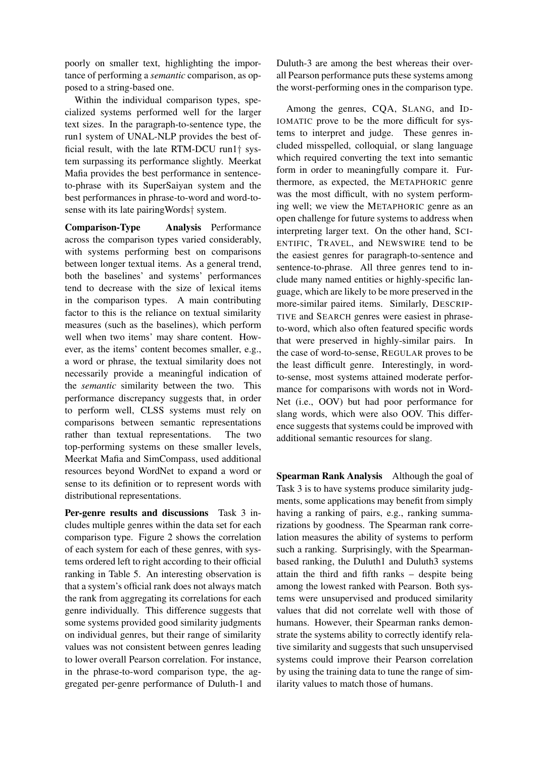poorly on smaller text, highlighting the importance of performing a *semantic* comparison, as opposed to a string-based one.

Within the individual comparison types, specialized systems performed well for the larger text sizes. In the paragraph-to-sentence type, the run1 system of UNAL-NLP provides the best official result, with the late RTM-DCU run1† system surpassing its performance slightly. Meerkat Mafia provides the best performance in sentenceto-phrase with its SuperSaiyan system and the best performances in phrase-to-word and word-tosense with its late pairingWords† system.

Comparison-Type Analysis Performance across the comparison types varied considerably, with systems performing best on comparisons between longer textual items. As a general trend, both the baselines' and systems' performances tend to decrease with the size of lexical items in the comparison types. A main contributing factor to this is the reliance on textual similarity measures (such as the baselines), which perform well when two items' may share content. However, as the items' content becomes smaller, e.g., a word or phrase, the textual similarity does not necessarily provide a meaningful indication of the *semantic* similarity between the two. This performance discrepancy suggests that, in order to perform well, CLSS systems must rely on comparisons between semantic representations rather than textual representations. The two top-performing systems on these smaller levels, Meerkat Mafia and SimCompass, used additional resources beyond WordNet to expand a word or sense to its definition or to represent words with distributional representations.

Per-genre results and discussions Task 3 includes multiple genres within the data set for each comparison type. Figure 2 shows the correlation of each system for each of these genres, with systems ordered left to right according to their official ranking in Table 5. An interesting observation is that a system's official rank does not always match the rank from aggregating its correlations for each genre individually. This difference suggests that some systems provided good similarity judgments on individual genres, but their range of similarity values was not consistent between genres leading to lower overall Pearson correlation. For instance, in the phrase-to-word comparison type, the aggregated per-genre performance of Duluth-1 and Duluth-3 are among the best whereas their overall Pearson performance puts these systems among the worst-performing ones in the comparison type.

Among the genres, CQA, SLANG, and ID-IOMATIC prove to be the more difficult for systems to interpret and judge. These genres included misspelled, colloquial, or slang language which required converting the text into semantic form in order to meaningfully compare it. Furthermore, as expected, the METAPHORIC genre was the most difficult, with no system performing well; we view the METAPHORIC genre as an open challenge for future systems to address when interpreting larger text. On the other hand, SCI-ENTIFIC, TRAVEL, and NEWSWIRE tend to be the easiest genres for paragraph-to-sentence and sentence-to-phrase. All three genres tend to include many named entities or highly-specific language, which are likely to be more preserved in the more-similar paired items. Similarly, DESCRIP-TIVE and SEARCH genres were easiest in phraseto-word, which also often featured specific words that were preserved in highly-similar pairs. In the case of word-to-sense, REGULAR proves to be the least difficult genre. Interestingly, in wordto-sense, most systems attained moderate performance for comparisons with words not in Word-Net (i.e., OOV) but had poor performance for slang words, which were also OOV. This difference suggests that systems could be improved with additional semantic resources for slang.

Spearman Rank Analysis Although the goal of Task 3 is to have systems produce similarity judgments, some applications may benefit from simply having a ranking of pairs, e.g., ranking summarizations by goodness. The Spearman rank correlation measures the ability of systems to perform such a ranking. Surprisingly, with the Spearmanbased ranking, the Duluth1 and Duluth3 systems attain the third and fifth ranks – despite being among the lowest ranked with Pearson. Both systems were unsupervised and produced similarity values that did not correlate well with those of humans. However, their Spearman ranks demonstrate the systems ability to correctly identify relative similarity and suggests that such unsupervised systems could improve their Pearson correlation by using the training data to tune the range of similarity values to match those of humans.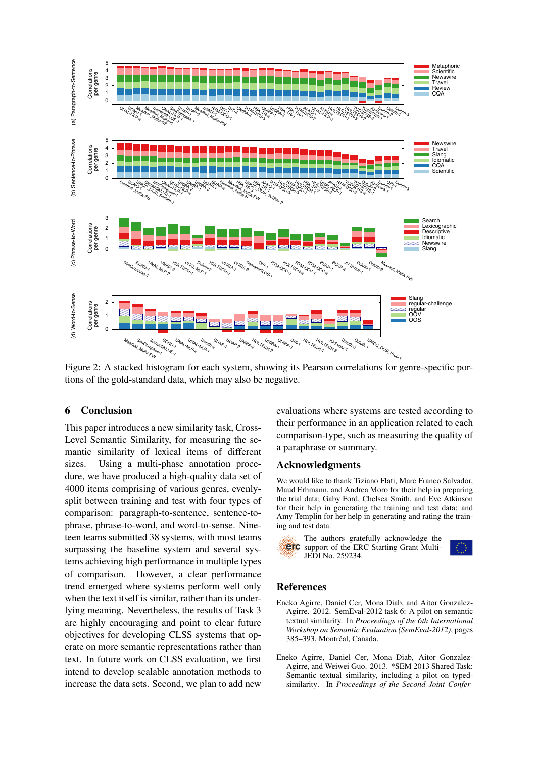

Figure 2: A stacked histogram for each system, showing its Pearson correlations for genre-specific portions of the gold-standard data, which may also be negative.

## 6 Conclusion

This paper introduces a new similarity task, Cross-Level Semantic Similarity, for measuring the semantic similarity of lexical items of different sizes. Using a multi-phase annotation procedure, we have produced a high-quality data set of 4000 items comprising of various genres, evenlysplit between training and test with four types of comparison: paragraph-to-sentence, sentence-tophrase, phrase-to-word, and word-to-sense. Nineteen teams submitted 38 systems, with most teams surpassing the baseline system and several systems achieving high performance in multiple types of comparison. However, a clear performance trend emerged where systems perform well only when the text itself is similar, rather than its underlying meaning. Nevertheless, the results of Task 3 are highly encouraging and point to clear future objectives for developing CLSS systems that operate on more semantic representations rather than text. In future work on CLSS evaluation, we first intend to develop scalable annotation methods to increase the data sets. Second, we plan to add new evaluations where systems are tested according to their performance in an application related to each comparison-type, such as measuring the quality of a paraphrase or summary.

### Acknowledgments

We would like to thank Tiziano Flati, Marc Franco Salvador, Maud Erhmann, and Andrea Moro for their help in preparing the trial data; Gaby Ford, Chelsea Smith, and Eve Atkinson for their help in generating the training and test data; and Amy Templin for her help in generating and rating the training and test data.



The authors gratefully acknowledge the **EFC** support of the ERC Starting Grant Multi-JEDI No. 259234.

## References

- Eneko Agirre, Daniel Cer, Mona Diab, and Aitor Gonzalez-Agirre. 2012. SemEval-2012 task 6: A pilot on semantic textual similarity. In *Proceedings of the 6th International Workshop on Semantic Evaluation (SemEval-2012)*, pages 385-393, Montréal, Canada.
- Eneko Agirre, Daniel Cer, Mona Diab, Aitor Gonzalez-Agirre, and Weiwei Guo. 2013. \*SEM 2013 Shared Task: Semantic textual similarity, including a pilot on typedsimilarity. In *Proceedings of the Second Joint Confer-*